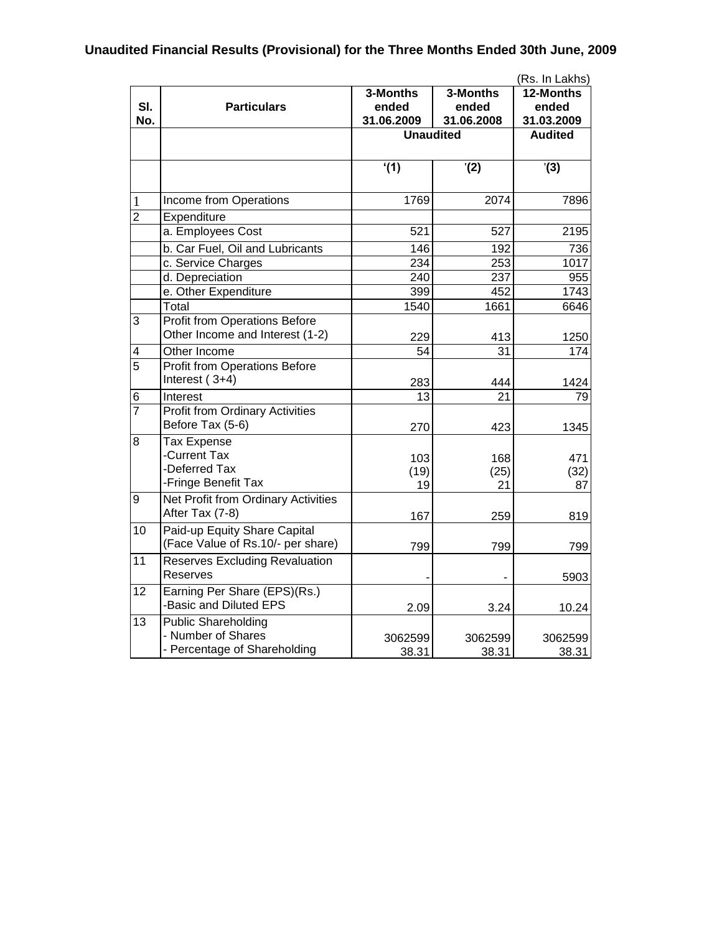## **Unaudited Financial Results (Provisional) for the Three Months Ended 30th June, 2009**

|                     |                                                                                  |                     | (Rs. In Lakhs)      |                     |  |
|---------------------|----------------------------------------------------------------------------------|---------------------|---------------------|---------------------|--|
| SI.<br>No.          | <b>Particulars</b>                                                               | 3-Months            | 3-Months            | 12-Months           |  |
|                     |                                                                                  | ended<br>31.06.2009 | ended<br>31.06.2008 | ended<br>31.03.2009 |  |
|                     |                                                                                  |                     | <b>Unaudited</b>    |                     |  |
|                     |                                                                                  |                     |                     |                     |  |
|                     |                                                                                  | (1)                 | (2)                 | '(3)                |  |
| 1                   | Income from Operations                                                           | 1769                | 2074                | 7896                |  |
| $\overline{2}$      | Expenditure                                                                      |                     |                     |                     |  |
|                     | a. Employees Cost                                                                | 521                 | 527                 | 2195                |  |
|                     | b. Car Fuel, Oil and Lubricants                                                  | 146                 | 192                 | 736                 |  |
|                     | c. Service Charges                                                               | 234                 | 253                 | 1017                |  |
|                     | d. Depreciation                                                                  | 240                 | 237                 | 955                 |  |
|                     | e. Other Expenditure                                                             | 399                 | 452                 | 1743                |  |
|                     | Total                                                                            | 1540                | 1661                | 6646                |  |
| 3                   | <b>Profit from Operations Before</b><br>Other Income and Interest (1-2)          | 229                 | 413                 | 1250                |  |
| 4                   | Other Income                                                                     | 54                  | 31                  | 174                 |  |
| $\overline{5}$      | <b>Profit from Operations Before</b><br>Interest $(3+4)$                         |                     |                     |                     |  |
|                     | Interest                                                                         | 283<br>13           | 444<br>21           | 1424                |  |
| 6<br>$\overline{7}$ |                                                                                  |                     |                     | 79                  |  |
|                     | <b>Profit from Ordinary Activities</b><br>Before Tax (5-6)                       | 270                 | 423                 | 1345                |  |
| 8                   | <b>Tax Expense</b><br>-Current Tax<br>-Deferred Tax<br>-Fringe Benefit Tax       | 103<br>(19)<br>19   | 168<br>(25)<br>21   | 471<br>(32)<br>87   |  |
| 9                   | <b>Net Profit from Ordinary Activities</b><br>After Tax (7-8)                    | 167                 | 259                 | 819                 |  |
| 10                  | Paid-up Equity Share Capital<br>(Face Value of Rs.10/- per share)                | 799                 | 799                 | 799                 |  |
| 11                  | <b>Reserves Excluding Revaluation</b><br><b>Reserves</b>                         |                     |                     | 5903                |  |
| 12                  | Earning Per Share (EPS)(Rs.)<br>-Basic and Diluted EPS                           | 2.09                | 3.24                | 10.24               |  |
| $\overline{13}$     | <b>Public Shareholding</b><br>- Number of Shares<br>- Percentage of Shareholding | 3062599<br>38.31    | 3062599<br>38.31    | 3062599<br>38.31    |  |